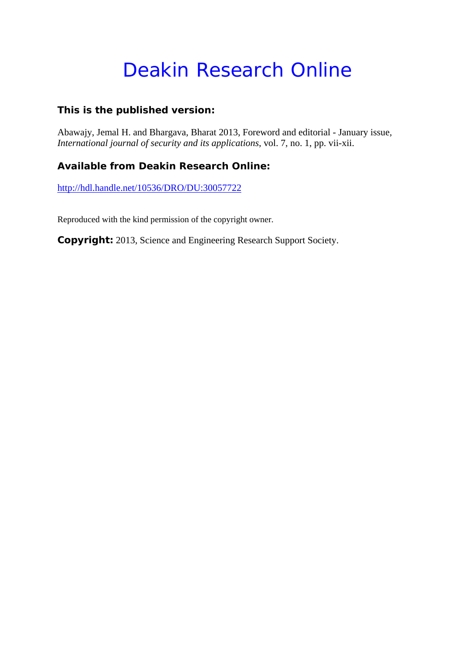# Deakin Research Online

#### **This is the published version:**

Abawajy, Jemal H. and Bhargava, Bharat 2013, Foreword and editorial - January issue*, International journal of security and its applications*, vol. 7, no. 1, pp. vii-xii.

### **Available from Deakin Research Online:**

http://hdl.handle.net/10536/DRO/DU:30057722

Reproduced with the kind permission of the copyright owner.

**Copyright:** 2013, Science and Engineering Research Support Society.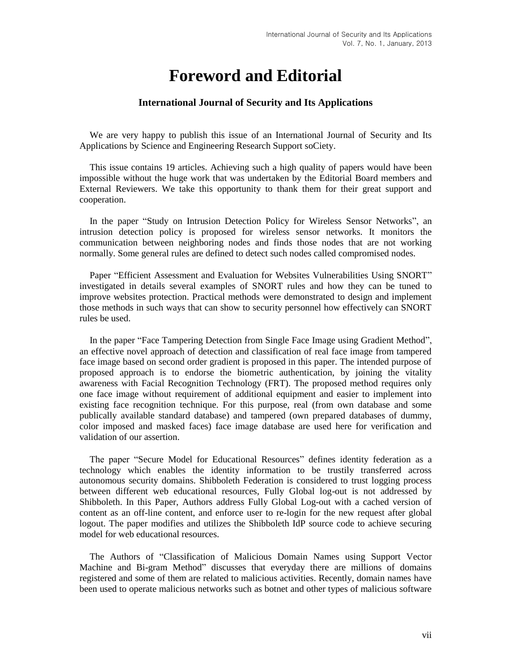## **Foreword and Editorial**

#### **International Journal of Security and Its Applications**

We are very happy to publish this issue of an International Journal of Security and Its Applications by Science and Engineering Research Support soCiety.

This issue contains 19 articles. Achieving such a high quality of papers would have been impossible without the huge work that was undertaken by the Editorial Board members and External Reviewers. We take this opportunity to thank them for their great support and cooperation.

In the paper "Study on Intrusion Detection Policy for Wireless Sensor Networks", an intrusion detection policy is proposed for wireless sensor networks. It monitors the communication between neighboring nodes and finds those nodes that are not working normally. Some general rules are defined to detect such nodes called compromised nodes.

Paper "Efficient Assessment and Evaluation for Websites Vulnerabilities Using SNORT" investigated in details several examples of SNORT rules and how they can be tuned to improve websites protection. Practical methods were demonstrated to design and implement those methods in such ways that can show to security personnel how effectively can SNORT rules be used.

In the paper "Face Tampering Detection from Single Face Image using Gradient Method", an effective novel approach of detection and classification of real face image from tampered face image based on second order gradient is proposed in this paper. The intended purpose of proposed approach is to endorse the biometric authentication, by joining the vitality awareness with Facial Recognition Technology (FRT). The proposed method requires only one face image without requirement of additional equipment and easier to implement into existing face recognition technique. For this purpose, real (from own database and some publically available standard database) and tampered (own prepared databases of dummy, color imposed and masked faces) face image database are used here for verification and validation of our assertion.

The paper "Secure Model for Educational Resources" defines identity federation as a technology which enables the identity information to be trustily transferred across autonomous security domains. Shibboleth Federation is considered to trust logging process between different web educational resources, Fully Global log-out is not addressed by Shibboleth. In this Paper, Authors address Fully Global Log-out with a cached version of content as an off-line content, and enforce user to re-login for the new request after global logout. The paper modifies and utilizes the Shibboleth IdP source code to achieve securing model for web educational resources.

The Authors of "Classification of Malicious Domain Names using Support Vector Machine and Bi-gram Method" discusses that everyday there are millions of domains registered and some of them are related to malicious activities. Recently, domain names have been used to operate malicious networks such as botnet and other types of malicious software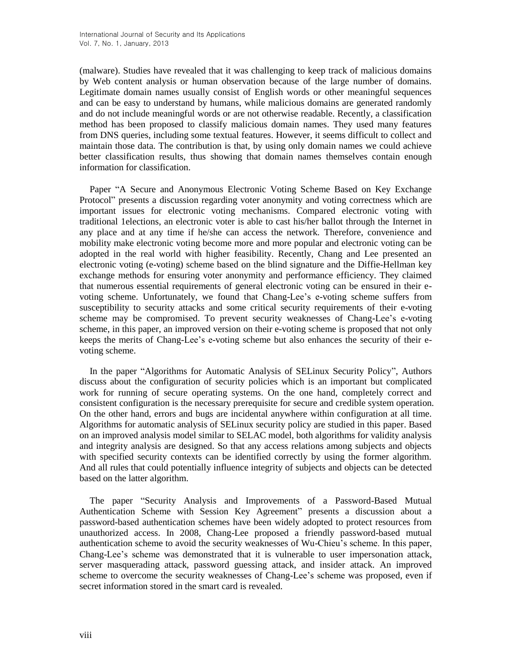(malware). Studies have revealed that it was challenging to keep track of malicious domains by Web content analysis or human observation because of the large number of domains. Legitimate domain names usually consist of English words or other meaningful sequences and can be easy to understand by humans, while malicious domains are generated randomly and do not include meaningful words or are not otherwise readable. Recently, a classification method has been proposed to classify malicious domain names. They used many features from DNS queries, including some textual features. However, it seems difficult to collect and maintain those data. The contribution is that, by using only domain names we could achieve better classification results, thus showing that domain names themselves contain enough information for classification.

Paper "A Secure and Anonymous Electronic Voting Scheme Based on Key Exchange Protocol" presents a discussion regarding voter anonymity and voting correctness which are important issues for electronic voting mechanisms. Compared electronic voting with traditional 1elections, an electronic voter is able to cast his/her ballot through the Internet in any place and at any time if he/she can access the network. Therefore, convenience and mobility make electronic voting become more and more popular and electronic voting can be adopted in the real world with higher feasibility. Recently, Chang and Lee presented an electronic voting (e-voting) scheme based on the blind signature and the Diffie-Hellman key exchange methods for ensuring voter anonymity and performance efficiency. They claimed that numerous essential requirements of general electronic voting can be ensured in their evoting scheme. Unfortunately, we found that Chang-Lee's e-voting scheme suffers from susceptibility to security attacks and some critical security requirements of their e-voting scheme may be compromised. To prevent security weaknesses of Chang-Lee's e-voting scheme, in this paper, an improved version on their e-voting scheme is proposed that not only keeps the merits of Chang-Lee's e-voting scheme but also enhances the security of their evoting scheme.

In the paper "Algorithms for Automatic Analysis of SELinux Security Policy", Authors discuss about the configuration of security policies which is an important but complicated work for running of secure operating systems. On the one hand, completely correct and consistent configuration is the necessary prerequisite for secure and credible system operation. On the other hand, errors and bugs are incidental anywhere within configuration at all time. Algorithms for automatic analysis of SELinux security policy are studied in this paper. Based on an improved analysis model similar to SELAC model, both algorithms for validity analysis and integrity analysis are designed. So that any access relations among subjects and objects with specified security contexts can be identified correctly by using the former algorithm. And all rules that could potentially influence integrity of subjects and objects can be detected based on the latter algorithm.

The paper "Security Analysis and Improvements of a Password-Based Mutual Authentication Scheme with Session Key Agreement" presents a discussion about a password-based authentication schemes have been widely adopted to protect resources from unauthorized access. In 2008, Chang-Lee proposed a friendly password-based mutual authentication scheme to avoid the security weaknesses of Wu-Chieu's scheme. In this paper, Chang-Lee's scheme was demonstrated that it is vulnerable to user impersonation attack, server masquerading attack, password guessing attack, and insider attack. An improved scheme to overcome the security weaknesses of Chang-Lee's scheme was proposed, even if secret information stored in the smart card is revealed.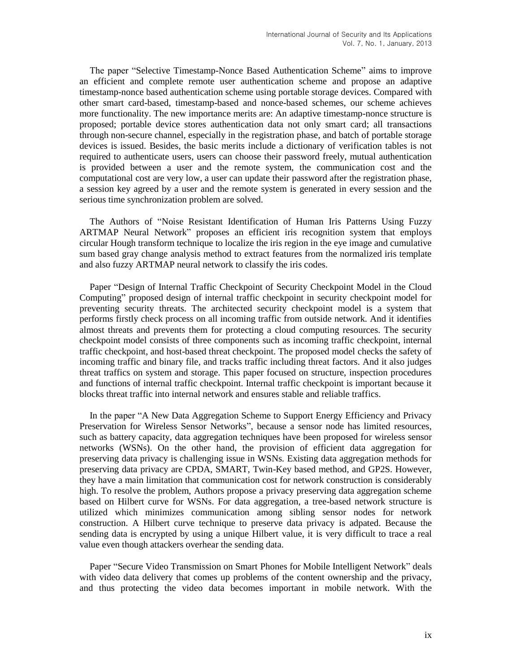The paper "Selective Timestamp-Nonce Based Authentication Scheme" aims to improve an efficient and complete remote user authentication scheme and propose an adaptive timestamp-nonce based authentication scheme using portable storage devices. Compared with other smart card-based, timestamp-based and nonce-based schemes, our scheme achieves more functionality. The new importance merits are: An adaptive timestamp-nonce structure is proposed; portable device stores authentication data not only smart card; all transactions through non-secure channel, especially in the registration phase, and batch of portable storage devices is issued. Besides, the basic merits include a dictionary of verification tables is not required to authenticate users, users can choose their password freely, mutual authentication is provided between a user and the remote system, the communication cost and the computational cost are very low, a user can update their password after the registration phase, a session key agreed by a user and the remote system is generated in every session and the serious time synchronization problem are solved.

The Authors of "Noise Resistant Identification of Human Iris Patterns Using Fuzzy ARTMAP Neural Network" proposes an efficient iris recognition system that employs circular Hough transform technique to localize the iris region in the eye image and cumulative sum based gray change analysis method to extract features from the normalized iris template and also fuzzy ARTMAP neural network to classify the iris codes.

Paper "Design of Internal Traffic Checkpoint of Security Checkpoint Model in the Cloud Computing" proposed design of internal traffic checkpoint in security checkpoint model for preventing security threats. The architected security checkpoint model is a system that performs firstly check process on all incoming traffic from outside network. And it identifies almost threats and prevents them for protecting a cloud computing resources. The security checkpoint model consists of three components such as incoming traffic checkpoint, internal traffic checkpoint, and host-based threat checkpoint. The proposed model checks the safety of incoming traffic and binary file, and tracks traffic including threat factors. And it also judges threat traffics on system and storage. This paper focused on structure, inspection procedures and functions of internal traffic checkpoint. Internal traffic checkpoint is important because it blocks threat traffic into internal network and ensures stable and reliable traffics.

In the paper "A New Data Aggregation Scheme to Support Energy Efficiency and Privacy Preservation for Wireless Sensor Networks", because a sensor node has limited resources, such as battery capacity, data aggregation techniques have been proposed for wireless sensor networks (WSNs). On the other hand, the provision of efficient data aggregation for preserving data privacy is challenging issue in WSNs. Existing data aggregation methods for preserving data privacy are CPDA, SMART, Twin-Key based method, and GP2S. However, they have a main limitation that communication cost for network construction is considerably high. To resolve the problem, Authors propose a privacy preserving data aggregation scheme based on Hilbert curve for WSNs. For data aggregation, a tree-based network structure is utilized which minimizes communication among sibling sensor nodes for network construction. A Hilbert curve technique to preserve data privacy is adpated. Because the sending data is encrypted by using a unique Hilbert value, it is very difficult to trace a real value even though attackers overhear the sending data.

Paper "Secure Video Transmission on Smart Phones for Mobile Intelligent Network" deals with video data delivery that comes up problems of the content ownership and the privacy, and thus protecting the video data becomes important in mobile network. With the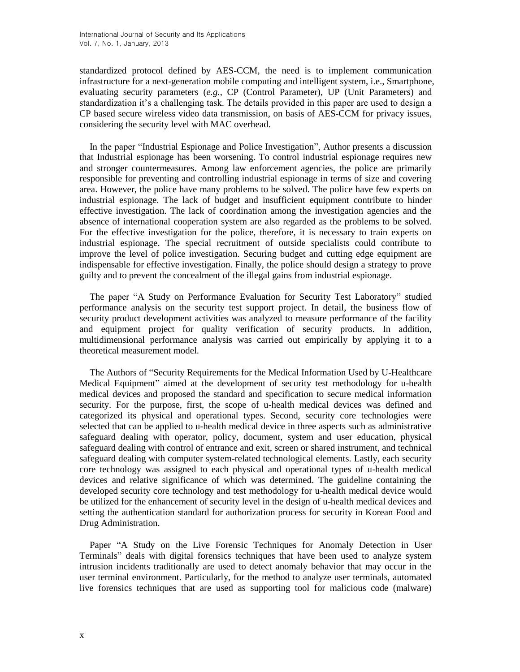standardized protocol defined by AES-CCM, the need is to implement communication infrastructure for a next-generation mobile computing and intelligent system, i.e., Smartphone, evaluating security parameters (*e.g.*, CP (Control Parameter), UP (Unit Parameters) and standardization it's a challenging task. The details provided in this paper are used to design a CP based secure wireless video data transmission, on basis of AES-CCM for privacy issues, considering the security level with MAC overhead.

In the paper "Industrial Espionage and Police Investigation", Author presents a discussion that Industrial espionage has been worsening. To control industrial espionage requires new and stronger countermeasures. Among law enforcement agencies, the police are primarily responsible for preventing and controlling industrial espionage in terms of size and covering area. However, the police have many problems to be solved. The police have few experts on industrial espionage. The lack of budget and insufficient equipment contribute to hinder effective investigation. The lack of coordination among the investigation agencies and the absence of international cooperation system are also regarded as the problems to be solved. For the effective investigation for the police, therefore, it is necessary to train experts on industrial espionage. The special recruitment of outside specialists could contribute to improve the level of police investigation. Securing budget and cutting edge equipment are indispensable for effective investigation. Finally, the police should design a strategy to prove guilty and to prevent the concealment of the illegal gains from industrial espionage.

The paper "A Study on Performance Evaluation for Security Test Laboratory" studied performance analysis on the security test support project. In detail, the business flow of security product development activities was analyzed to measure performance of the facility and equipment project for quality verification of security products. In addition, multidimensional performance analysis was carried out empirically by applying it to a theoretical measurement model.

The Authors of "Security Requirements for the Medical Information Used by U-Healthcare Medical Equipment" aimed at the development of security test methodology for u-health medical devices and proposed the standard and specification to secure medical information security. For the purpose, first, the scope of u-health medical devices was defined and categorized its physical and operational types. Second, security core technologies were selected that can be applied to u-health medical device in three aspects such as administrative safeguard dealing with operator, policy, document, system and user education, physical safeguard dealing with control of entrance and exit, screen or shared instrument, and technical safeguard dealing with computer system-related technological elements. Lastly, each security core technology was assigned to each physical and operational types of u-health medical devices and relative significance of which was determined. The guideline containing the developed security core technology and test methodology for u-health medical device would be utilized for the enhancement of security level in the design of u-health medical devices and setting the authentication standard for authorization process for security in Korean Food and Drug Administration.

Paper "A Study on the Live Forensic Techniques for Anomaly Detection in User Terminals" deals with digital forensics techniques that have been used to analyze system intrusion incidents traditionally are used to detect anomaly behavior that may occur in the user terminal environment. Particularly, for the method to analyze user terminals, automated live forensics techniques that are used as supporting tool for malicious code (malware)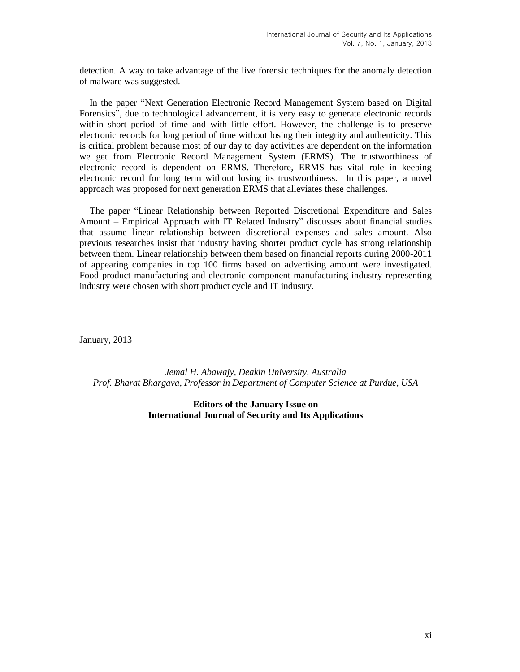detection. A way to take advantage of the live forensic techniques for the anomaly detection of malware was suggested.

In the paper "Next Generation Electronic Record Management System based on Digital Forensics", due to technological advancement, it is very easy to generate electronic records within short period of time and with little effort. However, the challenge is to preserve electronic records for long period of time without losing their integrity and authenticity. This is critical problem because most of our day to day activities are dependent on the information we get from Electronic Record Management System (ERMS). The trustworthiness of electronic record is dependent on ERMS. Therefore, ERMS has vital role in keeping electronic record for long term without losing its trustworthiness. In this paper, a novel approach was proposed for next generation ERMS that alleviates these challenges.

The paper "Linear Relationship between Reported Discretional Expenditure and Sales Amount – Empirical Approach with IT Related Industry" discusses about financial studies that assume linear relationship between discretional expenses and sales amount. Also previous researches insist that industry having shorter product cycle has strong relationship between them. Linear relationship between them based on financial reports during 2000-2011 of appearing companies in top 100 firms based on advertising amount were investigated. Food product manufacturing and electronic component manufacturing industry representing industry were chosen with short product cycle and IT industry.

January, 2013

*Jemal H. Abawajy, Deakin University, Australia Prof. Bharat Bhargava, Professor in Department of Computer Science at Purdue, USA*

> **Editors of the January Issue on International Journal of Security and Its Applications**